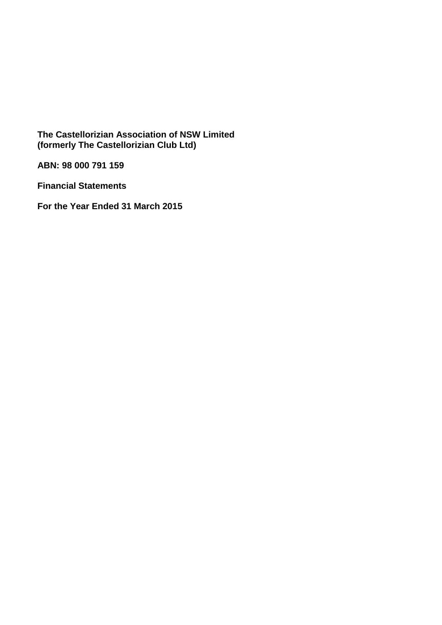**The Castellorizian Association of NSW Limited (formerly The Castellorizian Club Ltd)**

**ABN: 98 000 791 159**

**Financial Statements**

**For the Year Ended 31 March 2015**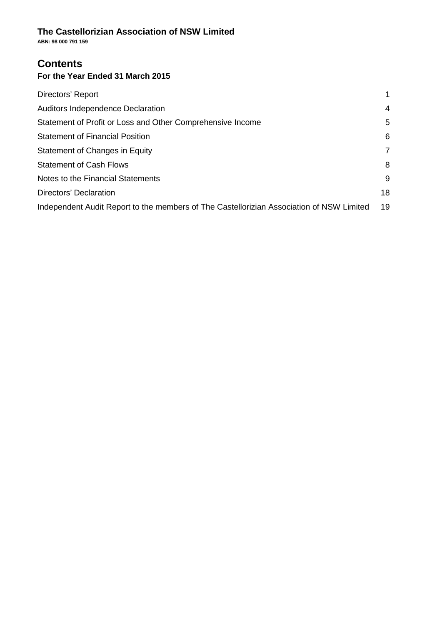**ABN: 98 000 791 159**

# **Contents**

## **For the Year Ended 31 March 2015**

| Directors' Report                                                                        | 1  |
|------------------------------------------------------------------------------------------|----|
| Auditors Independence Declaration                                                        | 4  |
| Statement of Profit or Loss and Other Comprehensive Income                               | 5  |
| <b>Statement of Financial Position</b>                                                   | 6  |
| Statement of Changes in Equity                                                           | 7  |
| <b>Statement of Cash Flows</b>                                                           | 8  |
| Notes to the Financial Statements                                                        | 9  |
| Directors' Declaration                                                                   | 18 |
| Independent Audit Report to the members of The Castellorizian Association of NSW Limited | 19 |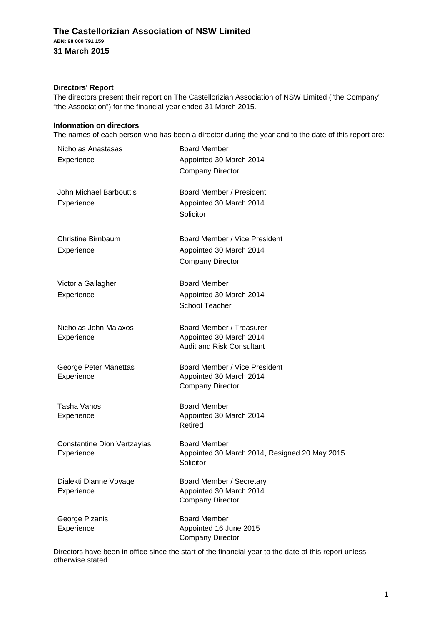#### **Directors' Report**

The directors present their report on The Castellorizian Association of NSW Limited ("the Company" "the Association") for the financial year ended 31 March 2015.

#### **Information on directors**

The names of each person who has been a director during the year and to the date of this report are:

| Nicholas Anastasas                        | <b>Board Member</b>                                                  |
|-------------------------------------------|----------------------------------------------------------------------|
| Experience                                | Appointed 30 March 2014                                              |
|                                           | <b>Company Director</b>                                              |
| John Michael Barbouttis                   | Board Member / President                                             |
| Experience                                | Appointed 30 March 2014                                              |
|                                           | Solicitor                                                            |
| <b>Christine Birnbaum</b>                 | Board Member / Vice President                                        |
| Experience                                | Appointed 30 March 2014                                              |
|                                           | <b>Company Director</b>                                              |
| Victoria Gallagher                        | <b>Board Member</b>                                                  |
| Experience                                | Appointed 30 March 2014                                              |
|                                           | <b>School Teacher</b>                                                |
| Nicholas John Malaxos                     | Board Member / Treasurer                                             |
| Experience                                | Appointed 30 March 2014<br><b>Audit and Risk Consultant</b>          |
|                                           |                                                                      |
| George Peter Manettas                     | Board Member / Vice President                                        |
| Experience                                | Appointed 30 March 2014                                              |
|                                           | <b>Company Director</b>                                              |
| <b>Tasha Vanos</b>                        | <b>Board Member</b>                                                  |
| Experience                                | Appointed 30 March 2014<br>Retired                                   |
|                                           |                                                                      |
| Constantine Dion Vertzayias<br>Experience | <b>Board Member</b><br>Appointed 30 March 2014, Resigned 20 May 2015 |
|                                           | Solicitor                                                            |
| Dialekti Dianne Voyage                    | Board Member / Secretary                                             |
| Experience                                | Appointed 30 March 2014<br><b>Company Director</b>                   |
|                                           | <b>Board Member</b>                                                  |
| George Pizanis<br>Experience              | Appointed 16 June 2015                                               |
|                                           | <b>Company Director</b>                                              |
|                                           |                                                                      |

Directors have been in office since the start of the financial year to the date of this report unless otherwise stated.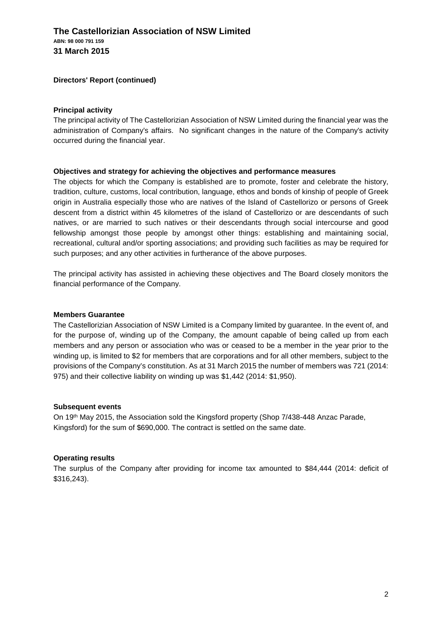**Directors' Report (continued)**

#### **Principal activity**

The principal activity of The Castellorizian Association of NSW Limited during the financial year was the administration of Company's affairs. No significant changes in the nature of the Company's activity occurred during the financial year.

#### **Objectives and strategy for achieving the objectives and performance measures**

The objects for which the Company is established are to promote, foster and celebrate the history, tradition, culture, customs, local contribution, language, ethos and bonds of kinship of people of Greek origin in Australia especially those who are natives of the Island of Castellorizo or persons of Greek descent from a district within 45 kilometres of the island of Castellorizo or are descendants of such natives, or are married to such natives or their descendants through social intercourse and good fellowship amongst those people by amongst other things: establishing and maintaining social, recreational, cultural and/or sporting associations; and providing such facilities as may be required for such purposes; and any other activities in furtherance of the above purposes.

The principal activity has assisted in achieving these objectives and The Board closely monitors the financial performance of the Company.

#### **Members Guarantee**

The Castellorizian Association of NSW Limited is a Company limited by guarantee. In the event of, and for the purpose of, winding up of the Company, the amount capable of being called up from each members and any person or association who was or ceased to be a member in the year prior to the winding up, is limited to \$2 for members that are corporations and for all other members, subject to the provisions of the Company's constitution. As at 31 March 2015 the number of members was 721 (2014: 975) and their collective liability on winding up was \$1,442 (2014: \$1,950).

#### **Subsequent events**

On 19th May 2015, the Association sold the Kingsford property (Shop 7/438-448 Anzac Parade, Kingsford) for the sum of \$690,000. The contract is settled on the same date.

#### **Operating results**

The surplus of the Company after providing for income tax amounted to \$84,444 (2014: deficit of \$316,243).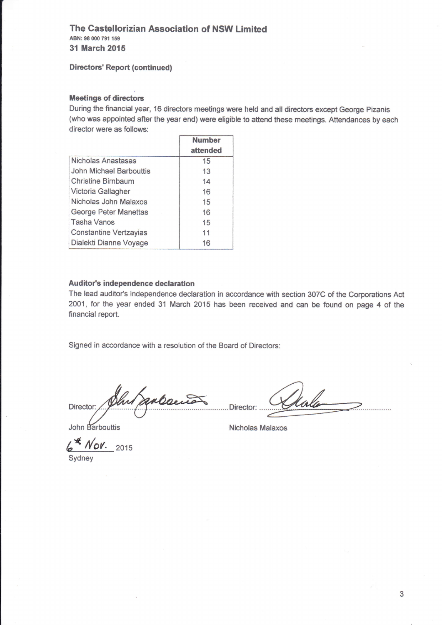#### The Gastellorizian Association of NSW Limited ABN: 98 000 791 159 31 March 2015

#### Directors' Report (continued)

#### Meetings of directors

During the financial year, 16 directors meetings were held and all directors except George Pizanis (who was appointed after the year end) were eligible to attend these meetings. Attendances by each director were as follows:

|                               | <b>Number</b> |  |
|-------------------------------|---------------|--|
|                               | attended      |  |
| Nicholas Anastasas            | 15            |  |
| John Michael Barbouttis       | 13            |  |
| Christine Birnbaum            | 14            |  |
| Victoria Gallagher            | 16            |  |
| Nicholas John Malaxos         | 15            |  |
| George Peter Manettas         | 16            |  |
| <b>Tasha Vanos</b>            | 15            |  |
| <b>Constantine Vertzayias</b> | 11            |  |
| Dialekti Dianne Voyage        | 16            |  |

#### Auditor's independence declaration

The lead auditor's independence declaration in accordance with section 307C of the Corporations Act 2001, for the year ended 31 March 2015 has been received and can be found on page 4 of the financial report.

Signed in accordance with a resolution of the Board of Directors:

enbacción Director:

Director

John Barbouttis

Nicholas Malaxos

 $6 * Nov.$  2015 Sydney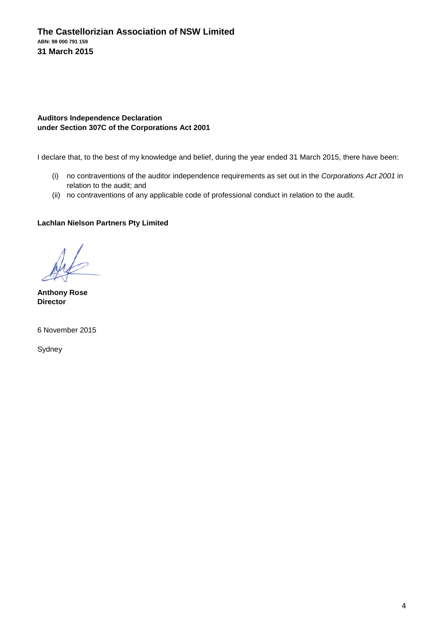**Auditors Independence Declaration under Section 307C of the Corporations Act 2001**

I declare that, to the best of my knowledge and belief, during the year ended 31 March 2015, there have been:

- (i) no contraventions of the auditor independence requirements as set out in the *Corporations Act 2001* in relation to the audit; and
- (ii) no contraventions of any applicable code of professional conduct in relation to the audit.

#### **Lachlan Nielson Partners Pty Limited**

**Anthony Rose Director**

6 November 2015

Sydney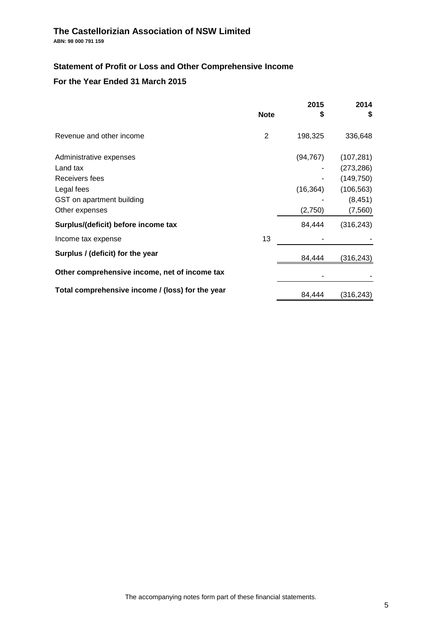# **Statement of Profit or Loss and Other Comprehensive Income**

## **For the Year Ended 31 March 2015**

|                                                  |                | 2015      | 2014       |
|--------------------------------------------------|----------------|-----------|------------|
|                                                  | <b>Note</b>    | S         | \$         |
| Revenue and other income                         | $\overline{2}$ | 198,325   | 336,648    |
| Administrative expenses                          |                | (94, 767) | (107, 281) |
| Land tax                                         |                |           | (273, 286) |
| Receivers fees                                   |                |           | (149, 750) |
| Legal fees                                       |                | (16, 364) | (106, 563) |
| GST on apartment building                        |                |           | (8, 451)   |
| Other expenses                                   |                | (2,750)   | (7, 560)   |
| Surplus/(deficit) before income tax              |                | 84,444    | (316, 243) |
| Income tax expense                               | 13             |           |            |
| Surplus / (deficit) for the year                 |                | 84,444    | (316, 243) |
| Other comprehensive income, net of income tax    |                |           |            |
| Total comprehensive income / (loss) for the year |                | 84,444    | (316, 243) |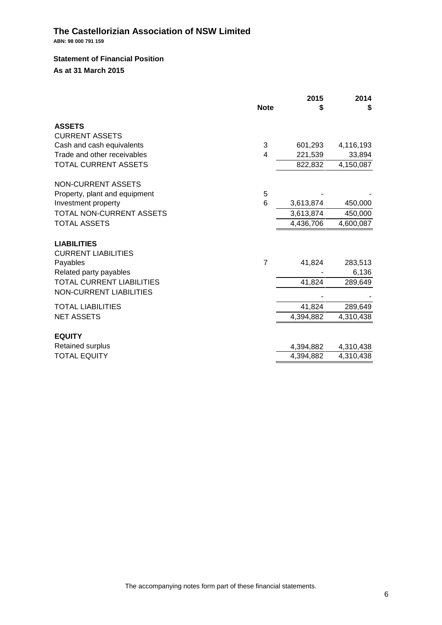**ABN: 98 000 791 159**

#### **Statement of Financial Position**

**As at 31 March 2015**

|                                  |                | 2015      | 2014      |
|----------------------------------|----------------|-----------|-----------|
|                                  | <b>Note</b>    | S         | \$        |
| <b>ASSETS</b>                    |                |           |           |
| <b>CURRENT ASSETS</b>            |                |           |           |
| Cash and cash equivalents        | 3              | 601,293   | 4,116,193 |
| Trade and other receivables      | 4              | 221,539   | 33,894    |
| TOTAL CURRENT ASSETS             |                | 822,832   | 4,150,087 |
| NON-CURRENT ASSETS               |                |           |           |
| Property, plant and equipment    | 5              |           |           |
| Investment property              | 6              | 3,613,874 | 450,000   |
| TOTAL NON-CURRENT ASSETS         |                | 3,613,874 | 450,000   |
| <b>TOTAL ASSETS</b>              |                | 4,436,706 | 4,600,087 |
| <b>LIABILITIES</b>               |                |           |           |
| <b>CURRENT LIABILITIES</b>       |                |           |           |
| Payables                         | $\overline{7}$ | 41,824    | 283,513   |
| Related party payables           |                |           | 6,136     |
| <b>TOTAL CURRENT LIABILITIES</b> |                | 41,824    | 289,649   |
| <b>NON-CURRENT LIABILITIES</b>   |                |           |           |
| <b>TOTAL LIABILITIES</b>         |                | 41,824    | 289,649   |
| <b>NET ASSETS</b>                |                | 4,394,882 | 4,310,438 |
|                                  |                |           |           |
| <b>EQUITY</b>                    |                |           |           |
| Retained surplus                 |                | 4,394,882 | 4,310,438 |
| <b>TOTAL EQUITY</b>              |                | 4,394,882 | 4,310,438 |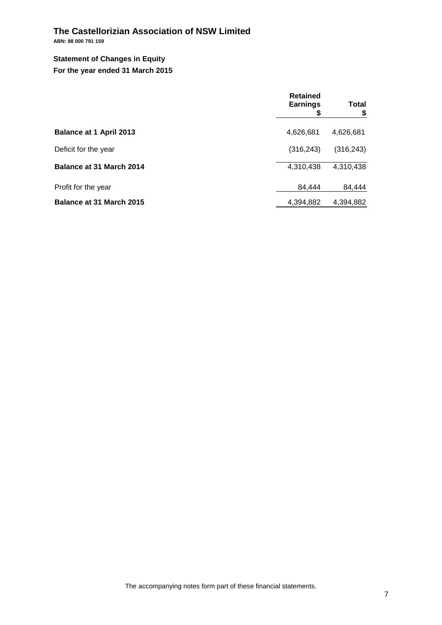**ABN: 98 000 791 159**

# **Statement of Changes in Equity**

## **For the year ended 31 March 2015**

|                                 | <b>Retained</b><br><b>Earnings</b><br>S | <b>Total</b><br>S |
|---------------------------------|-----------------------------------------|-------------------|
| <b>Balance at 1 April 2013</b>  | 4,626,681                               | 4,626,681         |
| Deficit for the year            | (316, 243)                              | (316, 243)        |
| Balance at 31 March 2014        | 4,310,438                               | 4,310,438         |
| Profit for the year             | 84,444                                  | 84,444            |
| <b>Balance at 31 March 2015</b> | 4,394,882                               | 4,394,882         |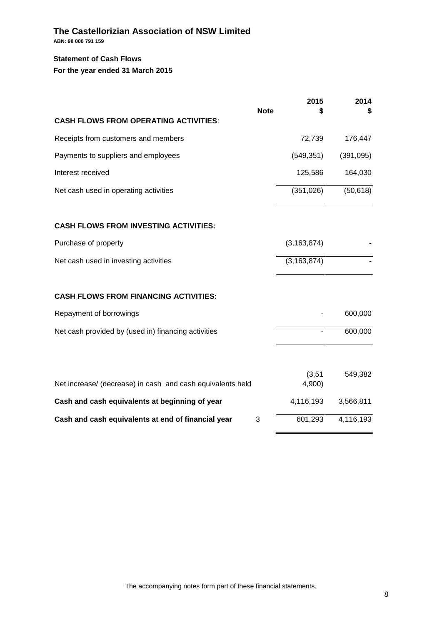**ABN: 98 000 791 159**

#### **Statement of Cash Flows**

**For the year ended 31 March 2015**

|                                                            | <b>Note</b> | 2015             | 2014       |
|------------------------------------------------------------|-------------|------------------|------------|
| <b>CASH FLOWS FROM OPERATING ACTIVITIES:</b>               |             |                  |            |
| Receipts from customers and members                        |             | 72,739           | 176,447    |
| Payments to suppliers and employees                        |             | (549, 351)       | (391, 095) |
| Interest received                                          |             | 125,586          | 164,030    |
| Net cash used in operating activities                      |             | (351, 026)       | (50, 618)  |
| <b>CASH FLOWS FROM INVESTING ACTIVITIES:</b>               |             |                  |            |
| Purchase of property                                       |             | (3, 163, 874)    |            |
| Net cash used in investing activities                      |             | (3, 163, 874)    |            |
| <b>CASH FLOWS FROM FINANCING ACTIVITIES:</b>               |             |                  |            |
| Repayment of borrowings                                    |             |                  | 600,000    |
| Net cash provided by (used in) financing activities        |             |                  | 600,000    |
|                                                            |             |                  |            |
| Net increase/ (decrease) in cash and cash equivalents held |             | (3,51)<br>4,900) | 549,382    |
| Cash and cash equivalents at beginning of year             |             | 4,116,193        | 3,566,811  |
| Cash and cash equivalents at end of financial year         | 3           | 601,293          | 4,116,193  |

The accompanying notes form part of these financial statements.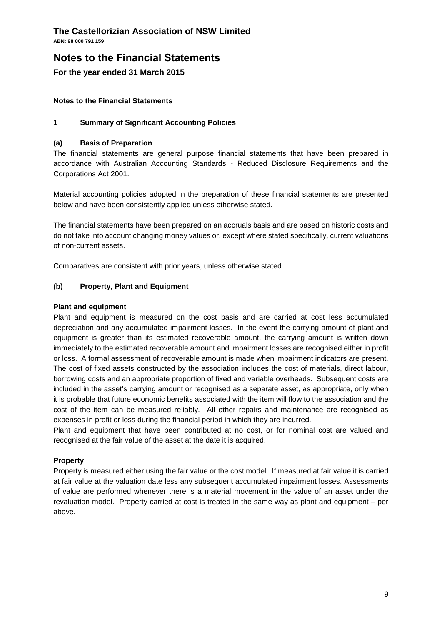**ABN: 98 000 791 159**

# **Notes to the Financial Statements**

**For the year ended 31 March 2015**

#### **Notes to the Financial Statements**

#### **1 Summary of Significant Accounting Policies**

#### **(a) Basis of Preparation**

The financial statements are general purpose financial statements that have been prepared in accordance with Australian Accounting Standards - Reduced Disclosure Requirements and the Corporations Act 2001.

Material accounting policies adopted in the preparation of these financial statements are presented below and have been consistently applied unless otherwise stated.

The financial statements have been prepared on an accruals basis and are based on historic costs and do not take into account changing money values or, except where stated specifically, current valuations of non-current assets.

Comparatives are consistent with prior years, unless otherwise stated.

#### **(b) Property, Plant and Equipment**

#### **Plant and equipment**

Plant and equipment is measured on the cost basis and are carried at cost less accumulated depreciation and any accumulated impairment losses. In the event the carrying amount of plant and equipment is greater than its estimated recoverable amount, the carrying amount is written down immediately to the estimated recoverable amount and impairment losses are recognised either in profit or loss. A formal assessment of recoverable amount is made when impairment indicators are present. The cost of fixed assets constructed by the association includes the cost of materials, direct labour, borrowing costs and an appropriate proportion of fixed and variable overheads. Subsequent costs are included in the asset's carrying amount or recognised as a separate asset, as appropriate, only when it is probable that future economic benefits associated with the item will flow to the association and the cost of the item can be measured reliably. All other repairs and maintenance are recognised as expenses in profit or loss during the financial period in which they are incurred.

Plant and equipment that have been contributed at no cost, or for nominal cost are valued and recognised at the fair value of the asset at the date it is acquired.

#### **Property**

Property is measured either using the fair value or the cost model. If measured at fair value it is carried at fair value at the valuation date less any subsequent accumulated impairment losses. Assessments of value are performed whenever there is a material movement in the value of an asset under the revaluation model. Property carried at cost is treated in the same way as plant and equipment – per above.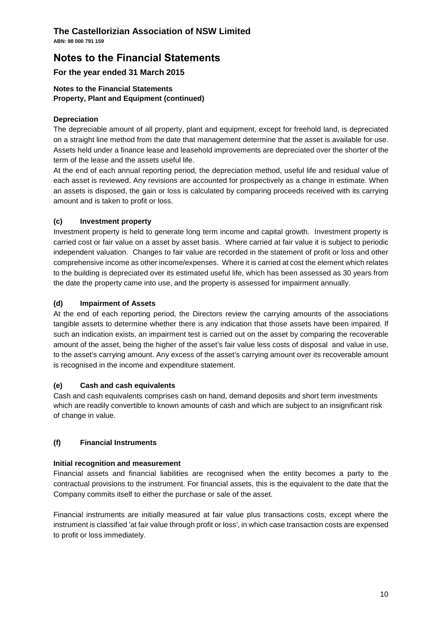# **Notes to the Financial Statements**

# **For the year ended 31 March 2015**

#### **Notes to the Financial Statements Property, Plant and Equipment (continued)**

#### **Depreciation**

The depreciable amount of all property, plant and equipment, except for freehold land, is depreciated on a straight line method from the date that management determine that the asset is available for use. Assets held under a finance lease and leasehold improvements are depreciated over the shorter of the term of the lease and the assets useful life.

At the end of each annual reporting period, the depreciation method, useful life and residual value of each asset is reviewed. Any revisions are accounted for prospectively as a change in estimate. When an assets is disposed, the gain or loss is calculated by comparing proceeds received with its carrying amount and is taken to profit or loss.

## **(c) Investment property**

Investment property is held to generate long term income and capital growth. Investment property is carried cost or fair value on a asset by asset basis. Where carried at fair value it is subject to periodic independent valuation. Changes to fair value are recorded in the statement of profit or loss and other comprehensive income as other income/expenses. Where it is carried at cost the element which relates to the building is depreciated over its estimated useful life, which has been assessed as 30 years from the date the property came into use, and the property is assessed for impairment annually.

#### **(d) Impairment of Assets**

At the end of each reporting period, the Directors review the carrying amounts of the associations tangible assets to determine whether there is any indication that those assets have been impaired. If such an indication exists, an impairment test is carried out on the asset by comparing the recoverable amount of the asset, being the higher of the asset's fair value less costs of disposal and value in use, to the asset's carrying amount. Any excess of the asset's carrying amount over its recoverable amount is recognised in the income and expenditure statement.

## **(e) Cash and cash equivalents**

Cash and cash equivalents comprises cash on hand, demand deposits and short term investments which are readily convertible to known amounts of cash and which are subject to an insignificant risk of change in value.

## **(f) Financial Instruments**

#### **Initial recognition and measurement**

Financial assets and financial liabilities are recognised when the entity becomes a party to the contractual provisions to the instrument. For financial assets, this is the equivalent to the date that the Company commits itself to either the purchase or sale of the asset.

Financial instruments are initially measured at fair value plus transactions costs, except where the instrument is classified 'at fair value through profit or loss', in which case transaction costs are expensed to profit or loss immediately.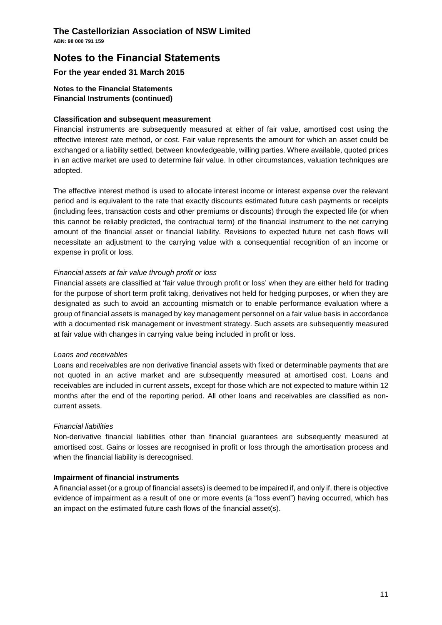# **Notes to the Financial Statements**

**For the year ended 31 March 2015**

**Notes to the Financial Statements Financial Instruments (continued)**

#### **Classification and subsequent measurement**

Financial instruments are subsequently measured at either of fair value, amortised cost using the effective interest rate method, or cost. Fair value represents the amount for which an asset could be exchanged or a liability settled, between knowledgeable, willing parties. Where available, quoted prices in an active market are used to determine fair value. In other circumstances, valuation techniques are adopted.

The effective interest method is used to allocate interest income or interest expense over the relevant period and is equivalent to the rate that exactly discounts estimated future cash payments or receipts (including fees, transaction costs and other premiums or discounts) through the expected life (or when this cannot be reliably predicted, the contractual term) of the financial instrument to the net carrying amount of the financial asset or financial liability. Revisions to expected future net cash flows will necessitate an adjustment to the carrying value with a consequential recognition of an income or expense in profit or loss.

#### *Financial assets at fair value through profit or loss*

Financial assets are classified at 'fair value through profit or loss' when they are either held for trading for the purpose of short term profit taking, derivatives not held for hedging purposes, or when they are designated as such to avoid an accounting mismatch or to enable performance evaluation where a group of financial assets is managed by key management personnel on a fair value basis in accordance with a documented risk management or investment strategy. Such assets are subsequently measured at fair value with changes in carrying value being included in profit or loss.

#### *Loans and receivables*

Loans and receivables are non derivative financial assets with fixed or determinable payments that are not quoted in an active market and are subsequently measured at amortised cost. Loans and receivables are included in current assets, except for those which are not expected to mature within 12 months after the end of the reporting period. All other loans and receivables are classified as non current assets.

#### *Financial liabilities*

Non-derivative financial liabilities other than financial guarantees are subsequently measured at amortised cost. Gains or losses are recognised in profit or loss through the amortisation process and when the financial liability is derecognised.

#### **Impairment of financial instruments**

A financial asset (or a group of financial assets) is deemed to be impaired if, and only if, there is objective evidence of impairment as a result of one or more events (a "loss event") having occurred, which has an impact on the estimated future cash flows of the financial asset(s).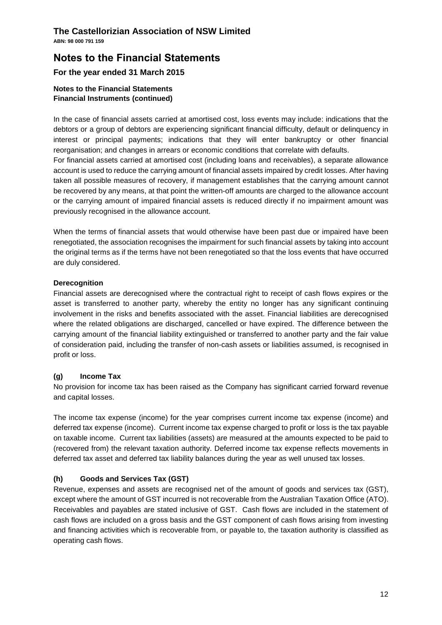# **Notes to the Financial Statements**

## **For the year ended 31 March 2015**

#### **Notes to the Financial Statements Financial Instruments (continued)**

In the case of financial assets carried at amortised cost, loss events may include: indications that the debtors or a group of debtors are experiencing significant financial difficulty, default or delinquency in interest or principal payments; indications that they will enter bankruptcy or other financial reorganisation; and changes in arrears or economic conditions that correlate with defaults.

For financial assets carried at amortised cost (including loans and receivables), a separate allowance account is used to reduce the carrying amount of financial assets impaired by credit losses. After having taken all possible measures of recovery, if management establishes that the carrying amount cannot be recovered by any means, at that point the written-off amounts are charged to the allowance account or the carrying amount of impaired financial assets is reduced directly if no impairment amount was previously recognised in the allowance account.

When the terms of financial assets that would otherwise have been past due or impaired have been renegotiated, the association recognises the impairment for such financial assets by taking into account the original terms as if the terms have not been renegotiated so that the loss events that have occurred are duly considered.

#### **Derecognition**

Financial assets are derecognised where the contractual right to receipt of cash flows expires or the asset is transferred to another party, whereby the entity no longer has any significant continuing involvement in the risks and benefits associated with the asset. Financial liabilities are derecognised where the related obligations are discharged, cancelled or have expired. The difference between the carrying amount of the financial liability extinguished or transferred to another party and the fair value of consideration paid, including the transfer of non-cash assets or liabilities assumed, is recognised in profit or loss.

## **(g) Income Tax**

No provision for income tax has been raised as the Company has significant carried forward revenue and capital losses.

The income tax expense (income) for the year comprises current income tax expense (income) and deferred tax expense (income). Current income tax expense charged to profit or loss is the tax payable on taxable income. Current tax liabilities (assets) are measured at the amounts expected to be paid to (recovered from) the relevant taxation authority. Deferred income tax expense reflects movements in deferred tax asset and deferred tax liability balances during the year as well unused tax losses.

## **(h) Goods and Services Tax (GST)**

Revenue, expenses and assets are recognised net of the amount of goods and services tax (GST), except where the amount of GST incurred is not recoverable from the Australian Taxation Office (ATO). Receivables and payables are stated inclusive of GST. Cash flows are included in the statement of cash flows are included on a gross basis and the GST component of cash flows arising from investing and financing activities which is recoverable from, or payable to, the taxation authority is classified as operating cash flows.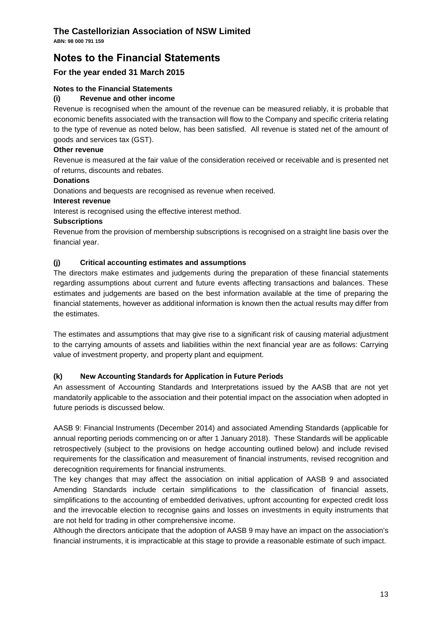# **Notes to the Financial Statements**

# **For the year ended 31 March 2015**

#### **Notes to the Financial Statements**

#### **(i) Revenue and other income**

Revenue is recognised when the amount of the revenue can be measured reliably, it is probable that economic benefits associated with the transaction will flow to the Company and specific criteria relating to the type of revenue as noted below, has been satisfied. All revenue is stated net of the amount of goods and services tax (GST).

#### **Other revenue**

Revenue is measured at the fair value of the consideration received or receivable and is presented net of returns, discounts and rebates.

#### **Donations**

Donations and bequests are recognised as revenue when received.

#### **Interest revenue**

Interest is recognised using the effective interest method.

#### **Subscriptions**

Revenue from the provision of membership subscriptions is recognised on a straight line basis over the financial year.

#### **(j) Critical accounting estimates and assumptions**

The directors make estimates and judgements during the preparation of these financial statements regarding assumptions about current and future events affecting transactions and balances. These estimates and judgements are based on the best information available at the time of preparing the financial statements, however as additional information is known then the actual results may differ from the estimates.

The estimates and assumptions that may give rise to a significant risk of causing material adjustment to the carrying amounts of assets and liabilities within the next financial year are as follows: Carrying value of investment property, and property plant and equipment.

#### **(k) New Accounting Standards for Application in Future Periods**

An assessment of Accounting Standards and Interpretations issued by the AASB that are not yet mandatorily applicable to the association and their potential impact on the association when adopted in future periods is discussed below.

AASB 9: Financial Instruments (December 2014) and associated Amending Standards (applicable for annual reporting periods commencing on or after 1 January 2018). These Standards will be applicable retrospectively (subject to the provisions on hedge accounting outlined below) and include revised requirements for the classification and measurement of financial instruments, revised recognition and derecognition requirements for financial instruments.

The key changes that may affect the association on initial application of AASB 9 and associated Amending Standards include certain simplifications to the classification of financial assets, simplifications to the accounting of embedded derivatives, upfront accounting for expected credit loss and the irrevocable election to recognise gains and losses on investments in equity instruments that are not held for trading in other comprehensive income.

Although the directors anticipate that the adoption of AASB 9 may have an impact on the association's financial instruments, it is impracticable at this stage to provide a reasonable estimate of such impact.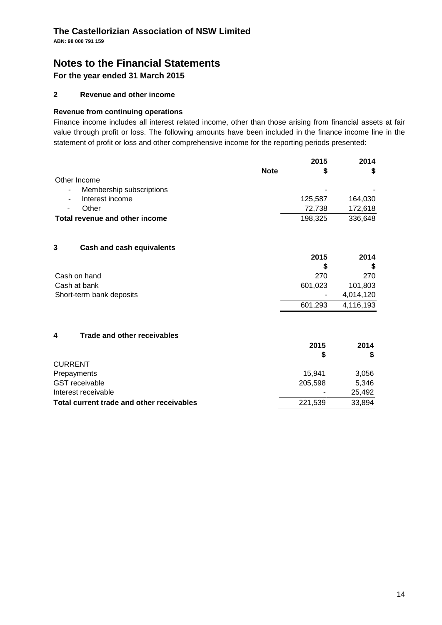# **Notes to the Financial Statements**

**For the year ended 31 March 2015**

#### **2 Revenue and other income**

#### **Revenue from continuing operations**

Finance income includes all interest related income, other than those arising from financial assets at fair value through profit or loss. The following amounts have been included in the finance income line in the statement of profit or loss and other comprehensive income for the reporting periods presented:

|                                           |             | 2015    | 2014      |
|-------------------------------------------|-------------|---------|-----------|
|                                           | <b>Note</b> | S       | \$        |
| Other Income                              |             |         |           |
| Membership subscriptions                  |             |         |           |
| Interest income                           |             | 125,587 | 164,030   |
| Other                                     |             | 72,738  | 172,618   |
| Total revenue and other income            |             | 198,325 | 336,648   |
| <b>Cash and cash equivalents</b><br>3     |             |         |           |
|                                           |             | 2015    | 2014      |
|                                           |             | \$      | \$        |
| Cash on hand                              |             | 270     | 270       |
| Cash at bank                              |             | 601,023 | 101,803   |
| Short-term bank deposits                  |             |         | 4,014,120 |
|                                           |             | 601,293 | 4,116,193 |
|                                           |             |         |           |
| <b>Trade and other receivables</b><br>4   |             |         |           |
|                                           |             | 2015    | 2014      |
|                                           |             | \$      | \$        |
| <b>CURRENT</b>                            |             |         |           |
| Prepayments                               |             | 15,941  | 3,056     |
| <b>GST</b> receivable                     |             | 205,598 | 5,346     |
| Interest receivable                       |             |         | 25,492    |
| Total current trade and other receivables |             | 221,539 | 33,894    |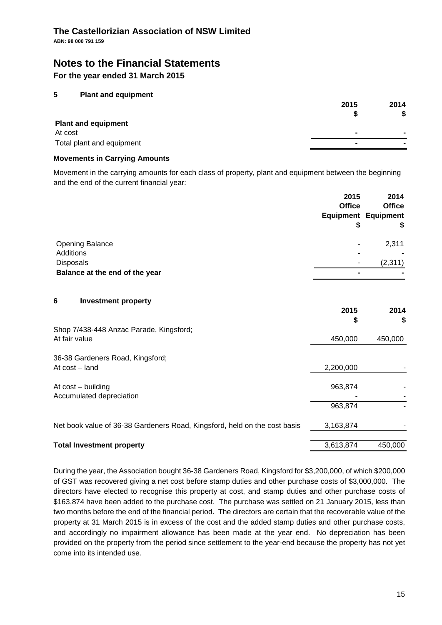# **Notes to the Financial Statements**

#### **For the year ended 31 March 2015**

| 5       | <b>Plant and equipment</b> |                |                          |  |
|---------|----------------------------|----------------|--------------------------|--|
|         |                            | 2015           | 2014                     |  |
|         |                            |                |                          |  |
|         | <b>Plant and equipment</b> |                |                          |  |
| At cost |                            | $\blacksquare$ | $\overline{\phantom{0}}$ |  |
|         | Total plant and equipment  | $\blacksquare$ | $\overline{\phantom{0}}$ |  |
|         |                            |                |                          |  |

#### **Movements in Carrying Amounts**

Movement in the carrying amounts for each class of property, plant and equipment between the beginning and the end of the current financial year:

|                                                                           | 2015<br><b>Office</b><br>\$ | 2014<br><b>Office</b><br><b>Equipment Equipment</b><br>\$ |
|---------------------------------------------------------------------------|-----------------------------|-----------------------------------------------------------|
| <b>Opening Balance</b>                                                    |                             | 2,311                                                     |
| Additions                                                                 |                             |                                                           |
| Disposals                                                                 |                             | (2, 311)                                                  |
| Balance at the end of the year                                            |                             |                                                           |
| 6<br><b>Investment property</b>                                           |                             |                                                           |
|                                                                           | 2015                        | 2014                                                      |
| Shop 7/438-448 Anzac Parade, Kingsford;                                   | S                           | \$                                                        |
| At fair value                                                             | 450,000                     | 450,000                                                   |
| 36-38 Gardeners Road, Kingsford;                                          |                             |                                                           |
| At cost - land                                                            | 2,200,000                   |                                                           |
| At cost - building                                                        | 963,874                     |                                                           |
| Accumulated depreciation                                                  |                             |                                                           |
|                                                                           | 963,874                     |                                                           |
| Net book value of 36-38 Gardeners Road, Kingsford, held on the cost basis | 3,163,874                   |                                                           |
| <b>Total Investment property</b>                                          | 3,613,874                   | 450,000                                                   |

During the year, the Association bought 36-38 Gardeners Road, Kingsford for \$3,200,000, of which \$200,000 of GST was recovered giving a net cost before stamp duties and other purchase costs of \$3,000,000. The directors have elected to recognise this property at cost, and stamp duties and other purchase costs of \$163,874 have been added to the purchase cost. The purchase was settled on 21 January 2015, less than two months before the end of the financial period. The directors are certain that the recoverable value of the property at 31 March 2015 is in excess of the cost and the added stamp duties and other purchase costs, and accordingly no impairment allowance has been made at the year end. No depreciation has been provided on the property from the period since settlement to the year-end because the property has not yet come into its intended use.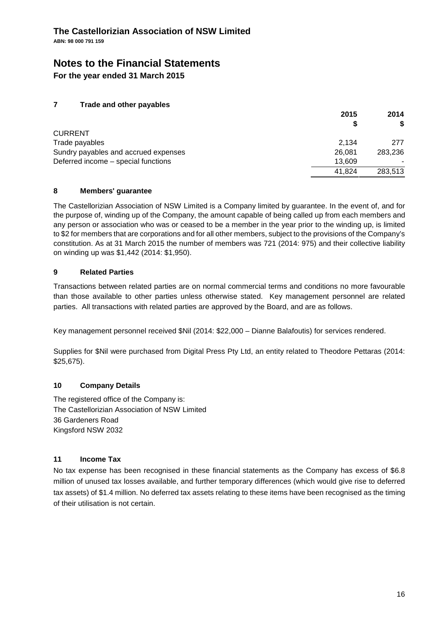# **Notes to the Financial Statements**

**For the year ended 31 March 2015**

|                                      | 2015   | 2014    |  |
|--------------------------------------|--------|---------|--|
|                                      |        |         |  |
| <b>CURRENT</b>                       |        |         |  |
| Trade payables                       | 2.134  | 277     |  |
| Sundry payables and accrued expenses | 26.081 | 283,236 |  |
| Deferred income - special functions  | 13.609 |         |  |
|                                      | 41.824 | 283,513 |  |

## **8 Members' guarantee**

The Castellorizian Association of NSW Limited is a Company limited by guarantee. In the event of, and for the purpose of, winding up of the Company, the amount capable of being called up from each members and any person or association who was or ceased to be a member in the year prior to the winding up, is limited to \$2 for members that are corporations and for all other members, subject to the provisions of the Company's constitution. As at 31 March 2015 the number of members was 721 (2014: 975) and their collective liability on winding up was \$1,442 (2014: \$1,950).

## **9 Related Parties**

Transactions between related parties are on normal commercial terms and conditions no more favourable than those available to other parties unless otherwise stated. Key management personnel are related parties. All transactions with related parties are approved by the Board, and are as follows.

Key management personnel received \$Nil (2014: \$22,000 – Dianne Balafoutis) for services rendered.

Supplies for \$Nil were purchased from Digital Press Pty Ltd, an entity related to Theodore Pettaras (2014: \$25,675).

## **10 Company Details**

The registered office of the Company is: The Castellorizian Association of NSW Limited 36 Gardeners Road Kingsford NSW 2032

## **11 Income Tax**

No tax expense has been recognised in these financial statements as the Company has excess of \$6.8 million of unused tax losses available, and further temporary differences (which would give rise to deferred tax assets) of \$1.4 million. No deferred tax assets relating to these items have been recognised as the timing of their utilisation is not certain.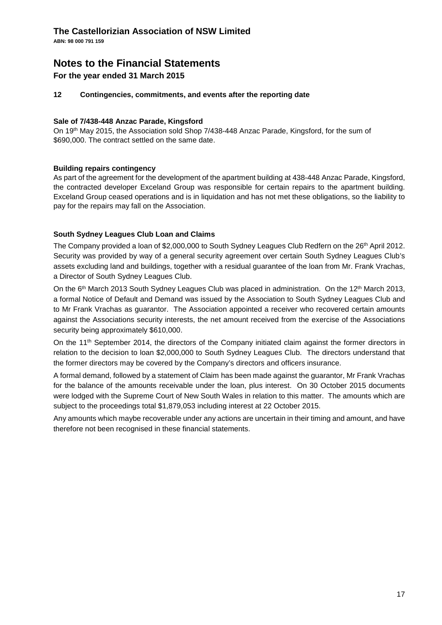**ABN: 98 000 791 159**

# **Notes to the Financial Statements**

#### **For the year ended 31 March 2015**

#### **12 Contingencies, commitments, and events after the reporting date**

#### **Sale of 7/438-448 Anzac Parade, Kingsford**

On 19th May 2015, the Association sold Shop 7/438-448 Anzac Parade, Kingsford, for the sum of \$690,000. The contract settled on the same date.

#### **Building repairs contingency**

As part of the agreement for the development of the apartment building at 438-448 Anzac Parade, Kingsford, the contracted developer Exceland Group was responsible for certain repairs to the apartment building. Exceland Group ceased operations and is in liquidation and has not met these obligations, so the liability to pay for the repairs may fall on the Association.

#### **South Sydney Leagues Club Loan and Claims**

The Company provided a loan of \$2,000,000 to South Sydney Leagues Club Redfern on the 26<sup>th</sup> April 2012. Security was provided by way of a general security agreement over certain South Sydney Leagues Club's assets excluding land and buildings, together with a residual guarantee of the loan from Mr. Frank Vrachas, a Director of South Sydney Leagues Club.

On the 6<sup>th</sup> March 2013 South Sydney Leagues Club was placed in administration. On the 12<sup>th</sup> March 2013, a formal Notice of Default and Demand was issued by the Association to South Sydney Leagues Club and to Mr Frank Vrachas as guarantor. The Association appointed a receiver who recovered certain amounts against the Associations security interests, the net amount received from the exercise of the Associations security being approximately \$610,000.

On the 11<sup>th</sup> September 2014, the directors of the Company initiated claim against the former directors in relation to the decision to loan \$2,000,000 to South Sydney Leagues Club. The directors understand that the former directors may be covered by the Company's directors and officers insurance.

A formal demand, followed by a statement of Claim has been made against the guarantor, Mr Frank Vrachas for the balance of the amounts receivable under the loan, plus interest. On 30 October 2015 documents were lodged with the Supreme Court of New South Wales in relation to this matter. The amounts which are subject to the proceedings total \$1,879,053 including interest at 22 October 2015.

Any amounts which maybe recoverable under any actions are uncertain in their timing and amount, and have therefore not been recognised in these financial statements.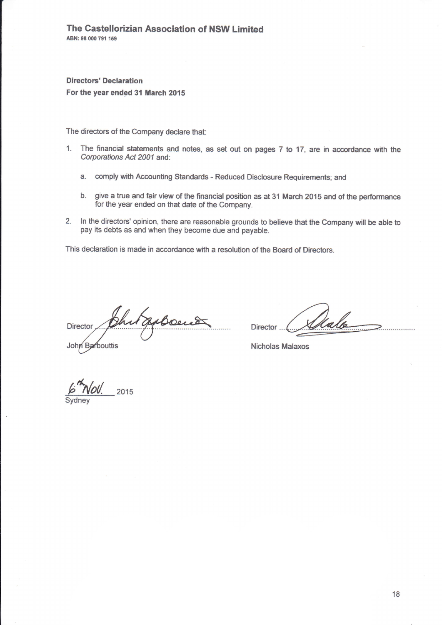Directors' Declaration For the year ended 31 March 2015

The directors of the Company declare that:

- 1. The financial statements and notes, as set out on pages 7 to 17, are in accordance with the Corporations Act 2001 and:
	- a. comply with Accounting Standards Reduced Disclosure Requirements; and
	- b. give a true and fair view of the financial position as at 31 March 2015 and of the performance for the year ended on that date of the Company.
- 2. In the directors' opinion, there are reasonable grounds to believe that the Company will be able to pay its debts as and when they become due and payable.

This declaration is made in accordance with a resolution of the Board of Directors.

Jobsuit **Director** John Barbouttis

**Director** 

Nicholas Malaxos

2015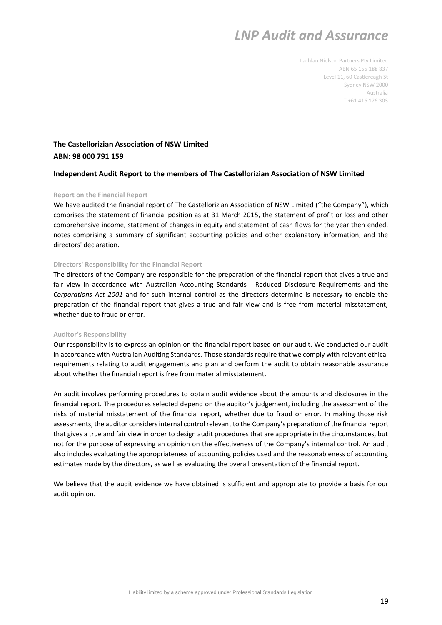# *LNP Audit and Assurance*

Lachlan Nielson Partners Pty Limited ABN 65 155 188 837 Level 11, 60 Castlereagh St Sydney NSW 2000 Australia T +61 416 176 303

## **The Castellorizian Association of NSW Limited ABN: 98 000 791 159**

#### **Independent Audit Report to the members of The Castellorizian Association of NSW Limited**

#### **Report on the Financial Report**

We have audited the financial report of The Castellorizian Association of NSW Limited ("the Company"), which comprises the statement of financial position as at 31 March 2015, the statement of profit or loss and other comprehensive income, statement of changes in equity and statement of cash flows for the year then ended, notes comprising a summary of significant accounting policies and other explanatory information, and the directors' declaration.

#### **Directors' Responsibility for the Financial Report**

The directors of the Company are responsible for the preparation of the financial report that gives a true and fair view in accordance with Australian Accounting Standards - Reduced Disclosure Requirements and the *Corporations Act 2001* and for such internal control as the directors determine is necessary to enable the preparation of the financial report that gives a true and fair view and is free from material misstatement, whether due to fraud or error.

#### **Auditor's Responsibility**

Our responsibility is to express an opinion on the financial report based on our audit. We conducted our audit in accordance with Australian Auditing Standards. Those standards require that we comply with relevant ethical requirements relating to audit engagements and plan and perform the audit to obtain reasonable assurance about whether the financial report is free from material misstatement.

An audit involves performing procedures to obtain audit evidence about the amounts and disclosures in the financial report. The procedures selected depend on the auditor's judgement, including the assessment of the risks of material misstatement of the financial report, whether due to fraud or error. In making those risk assessments, the auditor considers internal control relevant to the Company's preparation of the financial report that gives a true and fair view in order to design audit procedures that are appropriate in the circumstances, but not for the purpose of expressing an opinion on the effectiveness of the Company's internal control. An audit also includes evaluating the appropriateness of accounting policies used and the reasonableness of accounting estimates made by the directors, as well as evaluating the overall presentation of the financial report.

We believe that the audit evidence we have obtained is sufficient and appropriate to provide a basis for our audit opinion.